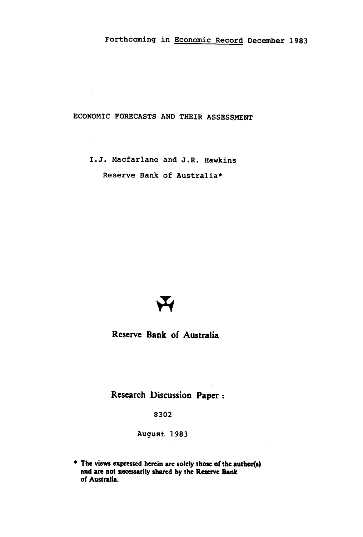ECONOMIC FORECASTS AND THEIR ASSESSMENT

 $\bar{\mathcal{A}}$ 

I.J. Macfarlane and J.R. Hawkins Reserve Bank of Australia\*



**Reserve Bank of Australia** 

**Research Discussion Paper** 

8302

August 1983

The views expressed herein are solely those of the author(s) and are not necessarily shared by **the Reserve Bank of Australia.**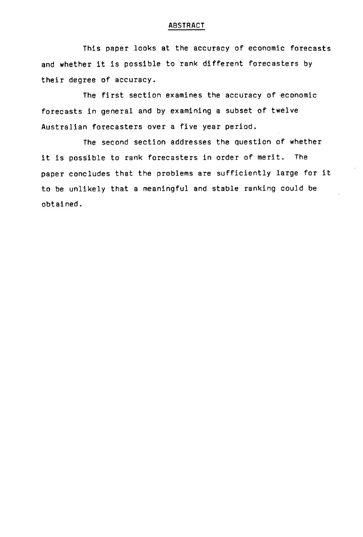### ABSTRACT

This paper looks at the accuracy of economic forecasts and whether it is possible to rank different forecasters by their degree of accuracy.

The first section examines the accuracy of economic forecasts in general and by examining a subset of twelve Australian forecasters over a five year period.

The second section addresses the question of whether it is possible to rank forecasters in order of merit. The paper concludes that the problems are sufficiently large for it to be unlikely that a meaningful and stable ranking could be obtained.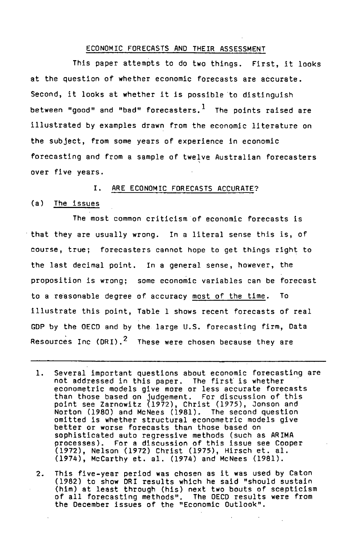#### ECONOMIC FORECASTS AND THEIR ASSESSMENT

This paper attempts to do two things. First, it looks at the question of whether economic forecasts are accurate. Second, it looks at whether it is possible to distinguish between "good" and "bad" forecasters. $<sup>1</sup>$  The points raised are</sup> illustrated by examples drawn from the economic literature on the subject, from some years of experience In economic forecasting and from a sample of twelve Australian forecasters over five years.

### I. ARE ECONOMIC FORECASTS ACCURATE?

# (a) The issues

The most common criticism of economic forecasts is that they are usually wrong. In a literal sense this is, of course, true; forecasters cannot hope to get things right to the last decimal point. In a general sense, however, the proposition is wrong; some economic variables can be forecast to a reasonable degree of accuracy most of the time. To illustrate this point, Table 1 shows recent forecasts of real CDP by the OECD and by the. large U.S. forecasting firm, Data Resources Inc (DRI).<sup>2</sup> These were chosen because they are

- $1.$ Several important questions about economic forecasting are not addressed in this paper. The first is whether econometric models give more or less accurate forecasts than those based on judgement. For discussion of this point see Zarnowitz (1972), Christ (1975), Jonson and Norton (1980) and McNees (1981). The second question omitted is whether structural econometric models give better or worse forecasts than those based on sophisticated auto regressive methods (such as ARIMA processes). For a discussion of this issue see Cooper (1972), Nelson (1972) Christ (1975), Hirsch et. al. (1974), McCarthy et. al. (1974) and McNees (1981).
- This five-year period was chosen as it was used by Caton  $2.$ (1982) to show DRI results which he said "should sustain (him) at least through (his) next two bouts of scepticism of all forecasting methods". The OECD results were from the December issues of the "Economic Outlook".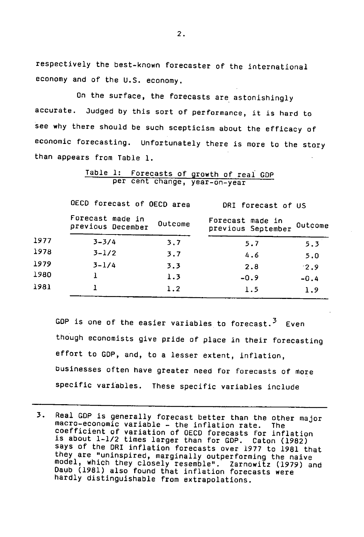respectively the best-known forecaster of the international economy and of the U.S. economy.

On the surface, the forecasts are astonishingly accurate. Judged by this sort of performance, it is hard to see why there should be such scepticism about the efficacy of economic forecasting. Unfortunately there is more to the story than appears from Table 1.

Table 1: Forecasts of growth of real GOP per cent change, year-on-year

|      | OECD forecast of OECD area            |         | DRI forecast of US                     |         |  |
|------|---------------------------------------|---------|----------------------------------------|---------|--|
|      | Forecast made in<br>previous December | Outcome | Forecast made in<br>previous September | Outcome |  |
| 1977 | $3 - 3/4$                             | 3.7     | 5.7                                    | 5.3     |  |
| 1978 | $3 - 1/2$                             | 3.7     | 4.6                                    | 5.0     |  |
| 1979 | $3 - 1/4$                             | 3.3     | 2.8                                    | 2.9     |  |
| 1980 |                                       | 1.3     | $-0.9$                                 | $-0.4$  |  |
| 1981 |                                       | 1.2     | 1.5                                    | 1.9     |  |

GDP is one of the easier variables to forecast.<sup>3</sup> Even though economists give pride of place in their forecasting effort to GOP, and, to a lesser extent, inflation, businesses often have greater need for forecasts of more specific variables. These specific variables include

3. Real GDP is generally forecast better than the other major macro-economic variable - the inflation rate. The coefficient of variation of OECD forecasts for inflation is about 1-1/2 times larger than for GOP. Caton (1982) says of the DRI inflation forecasts over 1977 to 1981 that they are "uninspired, marginally outperforming the naive model, which they closely resemble". Zarnowitz (1979) and Daub (1981) also found that inflation forecasts were hardly distinguishable from extrapolations.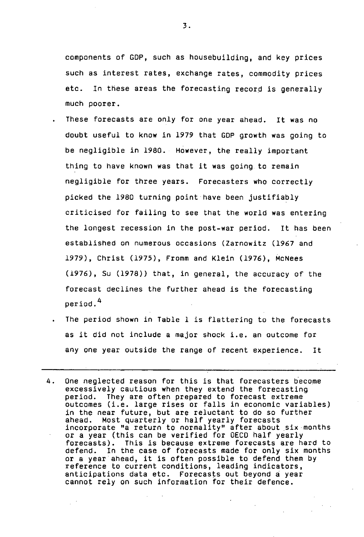components of GOP, such as housebuilding, and key prices such as interest rates, exchange rates, commodity prices etc. In these areas the forecasting record is generally much poorer.

- These forecasts are only for one year ahead. It was no doubt useful to know in 1979 that GOP growth was going to be negligible in 1980. However, the really important thing to have known was that it was going to remain negligible for three years. Forecasters who correctly picked the 1980 turning point have been justifiably criticised for failing to see that the world was entering the longest recession in the post-war period. It has been established on numerous occasions (Zarnowitz (1967 and 1979), Christ (1975), Fromm and Klein (1976), McNees (1976), Su (1978)) that, in general, the accuracy of the forecast declines the further ahead is the forecasting period.4
	- The period shown in Table 1 is flattering to the forecasts as it did not include a major shock i.e. an outcome for any one year outside the range of recent experience. It
- 4. One neglected reason for this is that forecasters become excessively cautious when they extend the forecasting period. They are often prepared to forecast extreme outcomes (i.e. large rises or falls in economic variables) in the near future, but are reluctant to do so further ahead. Most quarterly or half yearly forecasts incorporate "a return to normality" after about six months or a year (this can be verified for OECD half yearly forecasts). This is because extreme forecasts are hard to defend. In the case of forecasts made for only six months or a year ahead, it is often possible to defend them by reference to current conditions, leading indicators, anticipations data etc. Forecasts out beyond a year cannot rely on such information for their defence.

 $\overline{3}$ .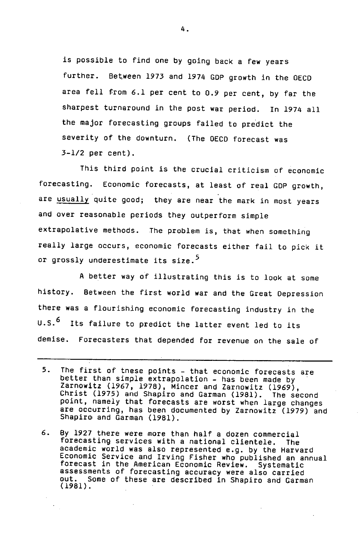is possible to find one by going back a few years further. Between 1973 and 1974 GDP growth in the OECD area fell from 6.1 per cent to 0.9 per cent, by far the sharpest turnaround in the post war period. In 1974 all the major forecasting groups failed to predict the severity of the downturn. (The OECD forecast was 3-1/2 per cent).

This third point is the crucial criticism of economic forecasting. Economic forecasts, at least of real GOP growth, are usually quite good; they are near the mark in most years and over reasonable periods they outperform simple extrapolative methods. The problem is, that when something really large occurs, economic forecasts either fail to pick it or grossly underestimate its size.<sup>5</sup>

A better way of illustrating this is to look at some history. Between the first world war and the Great Depression there was a flourishing economic forecasting industry in the U.S.<sup>6</sup> Its failure to predict the latter event led to its demise. Forecasters that depended for revenue on the sale of

 $5.$ The first of tnese points - that economic forecasts are better than simple extrapolation - has been made by Zarnowitz (1967, 1978), Mincer and Zarnowitz (1969), Christ (1975) and Shapiro and Garman (1981). The second point, namely that forecasts are worst when large changes are occurring, has been documented by Zarnowitz (1979) and Shapiro and Garman (1981).

<sup>6.</sup> By 1927 there were more than half a dozen commercial forecasting services with a national clientele. The academic world was also represented e.g. by the Harvard Economic Service and Irving Fisher who published an annual forecast in the American Economic Review. Systematic assessments of forecasting accuracy were also carried<br>out. Some of these are described in Shaniro and Garma Some of these are described in Shapiro and Garman (1981).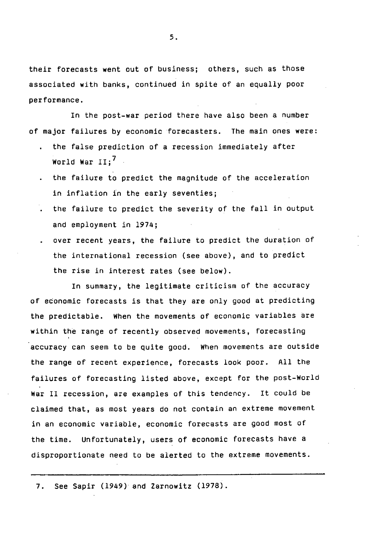their forecasts went out of business; others, such as those associated with banks, continued in spite of an equally poor performance.

In the post-war period there have also been a number of major failures by economic forecasters. The main ones were:

- the false prediction of a recession immediately after World War  $II:$ <sup>7</sup>
- the failure to predict the magnitude of the acceleration in inflation in the early seventies;
- the failure to predict the severity of the fall in output and employment in 1974;
- over recent years, the failure to predict the duration of the international recession (see above), and to predict the rise in interest rates (see below).

In summary, the legitimate criticism of the accuracy of economic forecasts is that they are only good at predicting the predictable. When the movements of economic variables are within the range of recently observed movements, forecasting accuracy can seem to be quite good. When movements are outside the range of recent experience, forecasts look poor. All the failures of forecasting listed above, except for the post-World War II recession, are examples of this tendency. It could be claimed that, as most years do not contain an extreme movement in an economic variable, economic forecasts are good most of the time. Unfortunately, users of economic forecasts have a disproportionate need to be alerted to the extreme movements.

7. See Sapir (1949) and Zarnowitz (1978).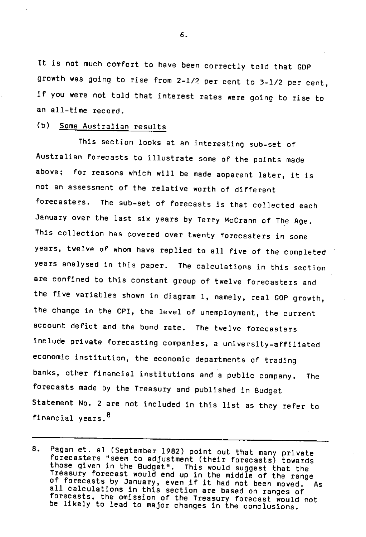it is not much comfort to have been correctly told that COP growth was going to rise from 2-1/2 per cent to 3-1/2 per cent, if you were not told that interest rates were going to rise to an all-time record.

## (b) Some Australian results

This section looks at an interesting sub-set of Australian forecasts to illustrate some of the points made above; for reasons which will be made apparent later, it is not an assessment of the relative worth of different forecasters. The sub-set of forecasts is that collected each January over the last six years by Terry McCrann of The Age. This collection has covered over twenty forecasters in some years, twelve of whom have replied to all five of the completed years analysed in this paper. The calculations in this section are confined to this constant group of twelve forecasters and the five variables shown in diagram 1, namely, real COP growth, the change in the CPI, the level of unemployment, the current account defict and the bond rate. The twelve forecasters Include private forecasting companies, a university-affiliated economic institution, the economic departments of trading banks, other financial institutions and a public company. The forecasts made by the Treasury and published in Budget Statement No. 2 are not included in this list as they refer to financial years.<sup>8</sup>

<sup>8.</sup> Pagan at. al (September 1982) point out that many private forecasters "seem to adjustment (their forecasts) towards those given in the Budget". This would suggest that the Treasury forecast would end up in the middle of the range of forecasts by January, even if it had not been moved. As all calculations in this section are based on ranges of forecasts, the omission of the Treasury forecast would not be likely to lead to major changes in the conclusions.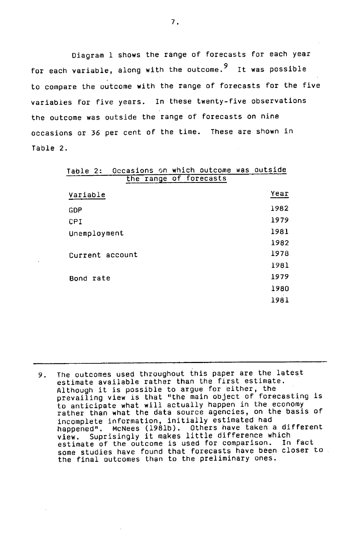Diagram 1 shows the range of forecasts for each year for each variable, along with the outcome.<sup>9</sup> It was possible to compare the outcome with the range of forecasts for the five variables for five years. in these twenty-five observations the outcome was outside the range of forecasts on nine occasions or 36 per cent of the time. These are shown in Table 2.

| Table 2:     |                 |  | Occasions on which outcome was outside |      |
|--------------|-----------------|--|----------------------------------------|------|
|              |                 |  | the range of forecasts                 |      |
| Variable     |                 |  |                                        | Year |
| GDP          |                 |  |                                        | 1982 |
| CPI          |                 |  |                                        | 1979 |
| Unemployment |                 |  |                                        | 1981 |
|              |                 |  |                                        | 1982 |
|              | Current account |  |                                        | 1978 |
|              |                 |  |                                        | 1981 |
| Bond rate    |                 |  |                                        | 1979 |
|              |                 |  |                                        | 1980 |
|              |                 |  |                                        | 1981 |

9. The outcomes used throughout this paper are the latest estimate available rather than the first estimate. Although it is possible to argue for either, the prevailing view is that "the main object of forecasting is to anticipate what will actually happen in the economy rather than what the data source agencies, on the basis of incomplete information, initially estimated had happened". McNees (1981b). Others have taken a different view. Suprisingly it makes little difference which estimate of the outcome is used for comparison. In fact some studies have found that forecasts have been closer to the final outcomes than to the preliminary ones.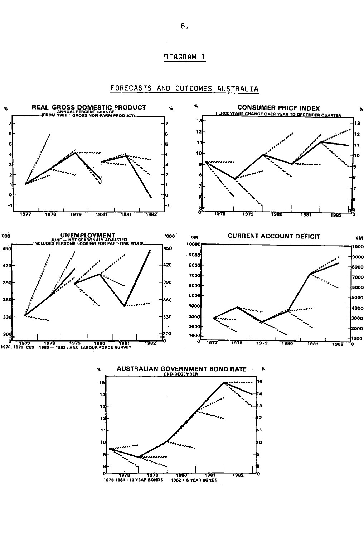### **DIAGRAM 1**



**FORECASTS AND OUTCOMES AUSTRALIA**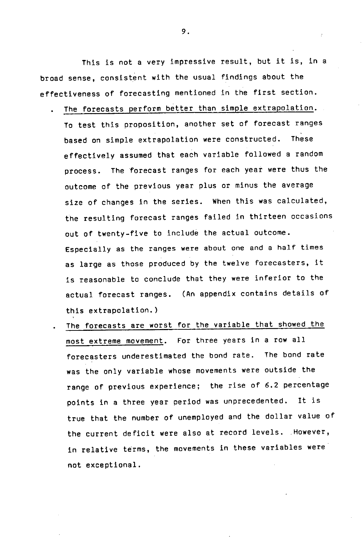This is not a very impressive result, but it is, in a broad sense, consistent with the usual findings about the effectiveness of forecasting mentioned in the first section.

- The forecasts perform better than simple extrapolation. To test this proposition, another set of forecast ranges based on simple extrapolation were constructed. These effectively assumed that each variable followed a random process. The forecast ranges for each year were thus the outcome of the previous year plus or minus the average size of changes in the series. When this was calculated, the resulting forecast ranges failed in thirteen occasions out of twenty-five to include the actual outcome. Especially as the ranges were about one and a half times as large as those produced by the twelve forecasters, it is reasonable to conclude that they were inferior to the actual forecast ranges. (An appendix contains details of this extrapolation.)
- The forecasts are worst for the variable that showed the most extreme movement. For three years in a row all forecasters underestimated the bond rate. The bond rate was the only variable whose movements were outside the range of previous experience; the rise of 6.2 percentage points in a three year period was unprecedented. It is true that the number of unemployed and the dollar value of the current deficit were also at record levels. However, in relative terms, the movements in these variables were not exceptional.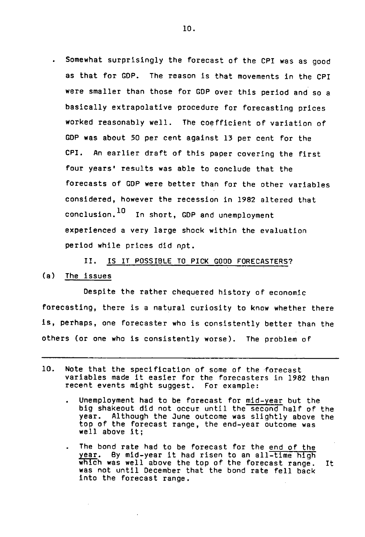Somewhat surprisingly the forecast of the CPI was as good as that for GOP. The reason is that movements in the CPI were smaller than those for GOP over this period and so a basically extrapolative procedure for forecasting prices worked reasonably well. The coefficient of variation of GOP was about 50 per cent against 13 per cent for the CPI. An earlier draft of this paper covering the first four years' results was able to conclude that the forecasts of GOP were better than for the other variables considered, however the recession in 1982 altered that conclusion. 10 In short, GDP and unemployment experienced a very large shock within the evaluation period while prices did not.

II. IS IT POSSIBLE TO PICK GOOD FORECASTERS? (a) The issues

Despite the rather chequered history of economic forecasting, there is a natural curiosity to know whether there Is, perhaps, one forecaster who is consistently better than the others (or one who is consistently worse). The problem of

- 10. Note that the specification of some of the forecast variables made it easier for the forecasters in 1982 than recent events might suggest. For example:
	- Unemployment had to be forecast for mid-year but the big shakeout did not occur until the second half of the year. Although the June outcome was slightly above the top of the forecast range, the end-year outcome was well above it;
	- The bond rate had to be forecast for the end of the By mid-year it had risen to an all-time high wnich was well above the top of the forecast range. It was not until December that the bond rate fell back Into the forecast range.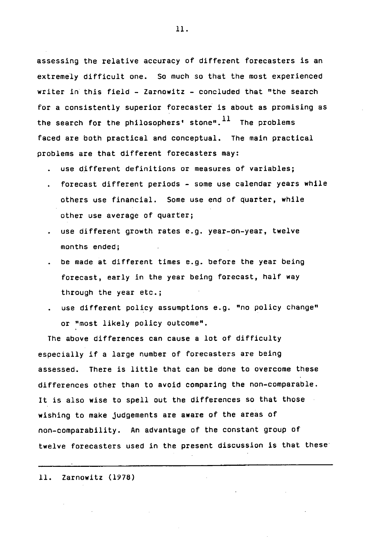assessing the relative accuracy of different forecasters is an extremely difficult one. So much so that the most experienced writer in this field - Zarnowitz - concluded that "the search for a consistently superior forecaster is about as promising as the search for the philosophers' stone". $^{11}$  The problems faced are both practical and conceptual. The main practical problems are that different forecasters may:

- use different definitions or measures of variables;
- forecast different periods some use calendar years while others use financial. Some use end of quarter, while other use average of quarter;
- use different growth rates e.g. year-on-year, twelve months ended;
- be made at different times e.g. before the year being forecast, early in the year being forecast, half way through the year etc.;
- use different policy assumptions e.g. "no policy change" or "most likely policy outcome".

The above differences can cause a lot of difficulty especially if a large number of forecasters are being assessed. There is little that can be done to overcome these differences other than to avoid comparing the non-comparable. It is also wise to spell out the differences so that those wishing to make judgements are aware of the areas of non-comparability. An advantage of the constant group of twelve forecasters used in the present discussion is that these

11. Zarnowitz (1978)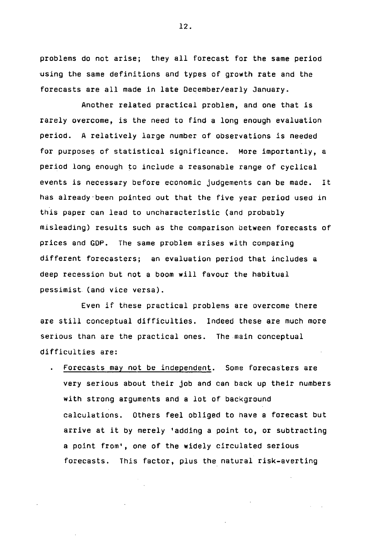problems do not arise; they all forecast for the same period using the same definitions and types of growth rate and the forecasts are all made in late December/early January.

Another related practical problem, and one that is rarely overcome, is the need to find a long enough evaluation period. A relatively large number of observations is needed for purposes of statistical significance. More importantly, a period long enough to include a reasonable range of cyclical events is necessary before economic judgements can be made. It has already been pointed out that the five year period used in this paper can lead to uncharacteristic (and probably misleading) results such as the comparison between forecasts of prices and GOP. The same problem arises with comparing different forecasters; an evaluation period that includes a deep recession but not a boom will favour the habitual pessimist (and vice versa).

Even if these practical problems are overcome there are still conceptual difficulties. Indeed these are much more serious than are the practical ones. The-main conceptual difficulties are:

Forecasts may not be independent. Some forecasters are very serious about their job and can back up their numbers with strong arguments and a lot of background calculations. Others feel obliged to have a forecast but arrive at it by merely 'adding a point to, or subtracting a point from', one of the widely circulated serious forecasts. This factor, plus the natural risk-averting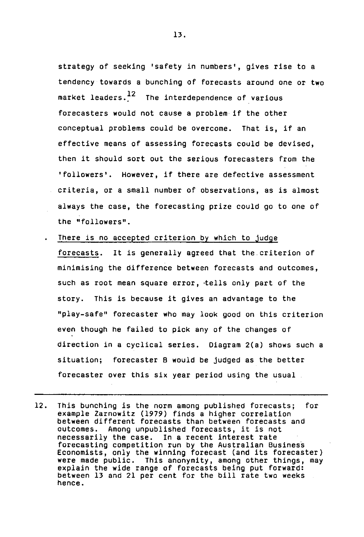strategy of seeking 'safety in numbers', gives rise to a tendency towards a bunching of forecasts around one or two market leaders. $\frac{12}{1}$  The interdependence of various forecasters would not cause a problem if the other conceptual problems could be overcome. That is, if an effective means of assessing forecasts could be devised, then it should sort out the serious forecasters from the 'followers'. However, if there are defective assessment criteria, or a small number of observations, as is almost always the case, the forecasting prize could go to one of the "followers".

There is no accepted criterion by which to judge

forecasts. It is generally agreed that the criterion of minimising the difference between forecasts and outcomes, such as root mean square error, tells only part of the story. This is because it gives an advantage to the "play-safe" forecaster who may look good on this criterion even though he failed to pick any of the changes of direction in a cyclical series. Diagram 2(a) shows such a situation; forecaster B would be judged as the better forecaster over this six year period using the usual

12. This bunching is the norm among published forecasts; for example Zarnowitz (1979) finds a higher correlation between different forecasts than between forecasts and outcomes. Among unpublished forecasts, it is not necessarily the case. In a recent interest rate forecasting competition run by the Australian Business Economists, only the winning forecast (and its forecaster) were made public. This anonymity, among other things, may explain the wide range of forecasts being put forward: between 13 and 21 per cent for the bill rate two weeks hence.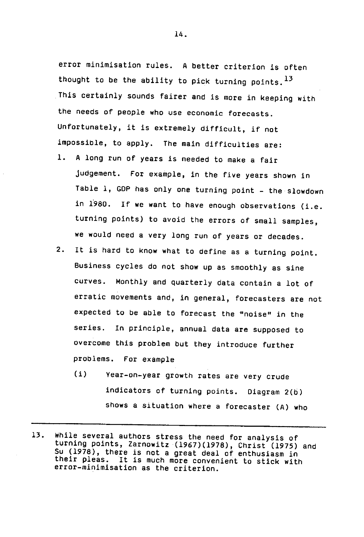error minimisation rules. A better criterion is often thought to be the ability to pick turning points.  $^{13}$ This certainly sounds fairer and is more in keeping with the needs of people who use economic forecasts. Unfortunately, it is extremely difficult, if not impossible, to apply. The main difficulties are:

- A long run of years is needed to make a fair 1. judgement. For example, in the five years shown in Table 1, GDP has only one turning point - the slowdown in 1980. If we want to have enough observations (i.e. turning points) to avoid the errors of small samples, we would need a very long run of years or decades.
- It is hard to know what to define as a turning point.  $2.$ Business cycles do not show up as smoothly as sine curves. Monthly and quarterly data contain a lot of erratic movements and, in general, forecasters are not expected to be able to forecast the "noise" in the series. In principle, annual data are Supposed to overcome this problem but they introduce further problems. For example
	- (i) Year-on-year growth rates are very crude indicators of turning points. Diagram 2(b) shows a situation where a forecaster (A) who

<sup>13.</sup> While several authors stress the need for analysis of turning points, Zarnowitz (1967)(1978), Christ (1975) and Su (1978), there is not a great deal of enthusiasm in their pleas. It is much more convenient to stick with error-minimisation as the criterion.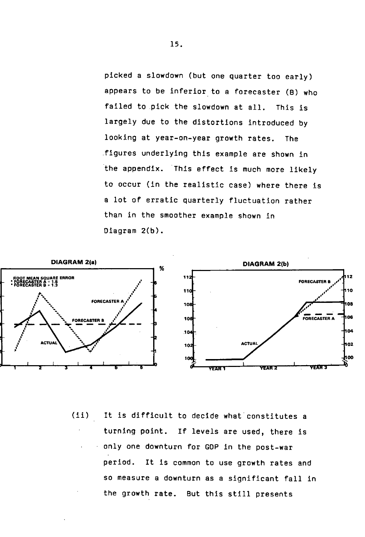picked a slowdown (but one quarter too early) appears to be inferior to a forecaster (B) who failed to pick the slowdown at all. This is largely due to the distortions introduced by looking at year-on-year growth rates. The figures underlying this example are shown in the appendix. This effect is much more likely to occur (in the realistic case) where there is a lot of erratic quarterly fluctuation rather than in the smoother example shown in Diagram 2(b).



(ii) it is difficult to decide what constitutes a turning point. If levels are used, there is • only one downturn for GOP in the post-war period. It is common to use growth rates and so measure a downturn as a significant fall in the growth rate. But this still presents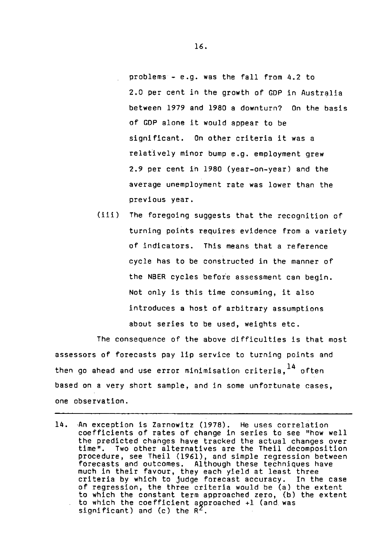problems - e.g. was the fall from 4.2 to 2.0 per cent in the growth of GDP in Australia between 1979 and 1980 a downturn? On the basis of COP alone it would appear to be significant. On other criteria it was a relatively minor bump e.g. employment grew 2.9 per cent in 1980 (year-on-year) and the average unemployment rate was lower than the previous year.

(iii) The foregoing suggests that the recognition of turning points requires evidence from a variety of indicators. This means that a reference cycle has to be constructed in the manner of the NBER cycles before assessment can begin. Not only is this time consuming, it also introduces a host of arbitrary assumptions about series to be used, weights etc.

The consequence of the above difficulties is that most assessors of forecasts pay lip service to turning points and then go ahead and use error minimisation criteria. $^{14}$  often based on a very short sample, and in some unfortunate cases, one observation.

14. An exception is Zarnowitz (1978). He uses correlation coefficients of rates of change in series to see "how well the predicted changes have tracked the actual changes over time". Two other alternatives are the Theil decomposition procedure, see Theil (1961), and simple regression between forecasts and outcomes. Although these techniques have much in their favour, they each yield at least three criteria by which to judge forecast accuracy. In the case of regression, the three criteria would be (a) the extent to which the constant term approached zero, (b) the extent to which the coefficient approached +1 (and was significant) and (c) the  $R^2$ .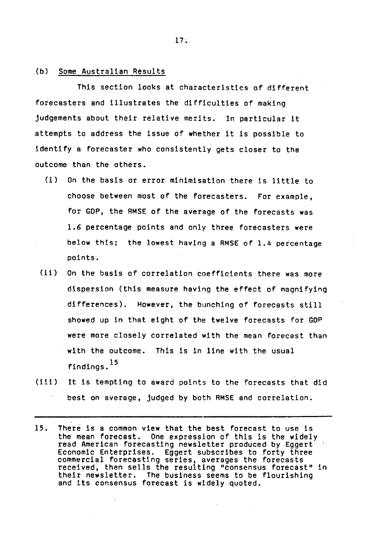### (b) Some Australian Results

This section looks at characteristics of different forecasters and illustrates the difficulties of making judgements about their relative merits. In particular it attempts to address the issue of whether it is possible to identify a forecaster who consistently gets closer to the outcome than the others.

- (1) On the basis or error minimisation there is little to choose between most of the forecasters. For example, for GOP, the RMSE of the average of the forecasts was 1.6 percentage points and only three forecasters were below this; the lowest having a RMSE of 1.4 percentage points.
- $(i)$ On the basis of correlation coefficients there was more dispersion (this measure having the effect of magnifying differences). However, the bunching of forecasts still showed up in that eight of the twelve forecasts for GOP were more closely correlated with the mean forecast than with the outcome. This Is in line with the usual findings.<sup>15</sup>
- $(iii)$ it is tempting to award points to the forecasts that did best on average, judged by both RMSE and correlation.
- 15. There is a common view that the best forecast to use is the mean forecast. One expression of this is the widely read American forecasting newsletter produced by Eggert Economic Enterprises. Eggert subscribes to forty three commercial forecasting series, averages the forecasts received, then sells the resulting "consensus forecast" in their newsletter. The business seems to be flourishing and its consensus forecast is widely quoted.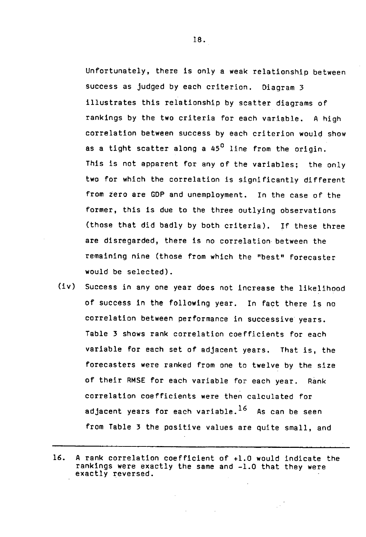Unfortunately, there is only a weak relationship between success as judged by each criterion. Diagram 3 illustrates this relationship by scatter diagrams of rankings by the two criteria for each variable. A high correlation between success by each criterion would show as a tight scatter along a 45<sup>0</sup> line from the origin. This is not apparent for any of the variables; the only two for which the correlation is significantly different from zero are GOP and unemployment. In the case of the former, this is due to the three outlying observations (those that did badly by both criteria). If these three are disregarded, there is no correlation between the remaining nine (those from which the "best" forecaster would be selected).

(iv) Success in any one year does not increase the likelihood of success in the following year. In fact there is no correlation between performance in successive years. Table 3 shows rank correlation coefficients for each variable for each set of adjacent years. That is, the forecasters were ranked from one to twelve by the size of their RMSE for each variable for each year. Rank correlation coefficients were then calculated for adjacent years for each variable. $^{16}$  As can be seen from Table 3 the positive values are quite small, and

is.

<sup>16.</sup> A rank correlation coefficient of +1.0 would indicate the rankings were exactly the same and -1.0 that they were exactly reversed.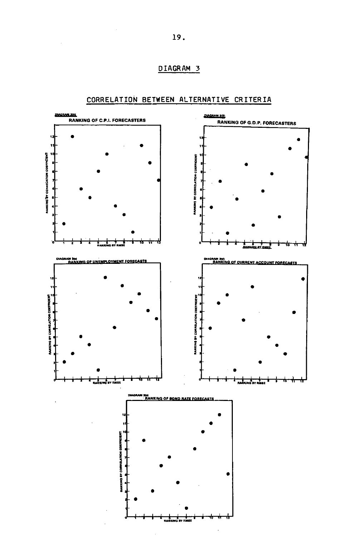



## **CORRELATION BETWEEN ALTERNATIVE CRITERIA**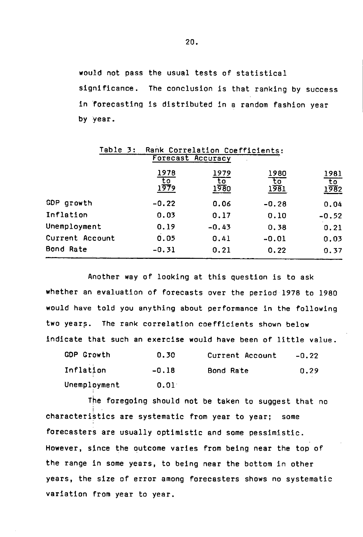would not pass the usual tests of statistical significance. The conclusion is that ranking by success in forecasting is distributed in a random fashion year by year.

| Table 3:          |                           | Rank Correlation Coefficients: |                                          |                           |  |  |  |  |
|-------------------|---------------------------|--------------------------------|------------------------------------------|---------------------------|--|--|--|--|
| Forecast Accuracy |                           |                                |                                          |                           |  |  |  |  |
|                   | 1978<br>$\frac{10}{1979}$ | 1979<br>᠊ᡶᢅᠣ<br>1980           | 1980<br>$\overline{\mathrm{to}}$<br>1981 | 1981<br>$\frac{10}{1982}$ |  |  |  |  |
| GDP growth        | $-0.22$                   | 0.06                           | $-0.28$                                  | 0.04                      |  |  |  |  |
| Inflation         | 0.03                      | 0.17                           | 0.10                                     | $-0.52$                   |  |  |  |  |
| Unemployment      | 0.19                      | $-0.43$                        | 0.38                                     | 0.21                      |  |  |  |  |
| Current Account   | 0.05                      | 0.41                           | $-0.01$                                  | 0.03                      |  |  |  |  |
| Bond Rate         | $-0.31$                   | 0.21                           | 0.22                                     | 0.37                      |  |  |  |  |

Another way of looking at this question is to ask whether an evaluation of forecasts over the period 1978 to 1980 would have told you anything about performance in the following two years. The rank correlation coefficients shown below indicate that such an exercise would have been of little value.

| <b>GDP Growth</b> | 0.30    | Current Account | $-0.22$ |
|-------------------|---------|-----------------|---------|
| Inflation         | $-0.18$ | Bond Rate       | 0.29    |
| Unemployment      | 0.01    |                 |         |

The foregoing should not be taken to suggest that no characteristics are systematic from year to year; some forecasters are usually optimistic and some pessimistic. However, since the outcome varies from being near the top of the range in some years, to being near the bottom in other years, the size of error among forecasters shows no systematic variation from year to year.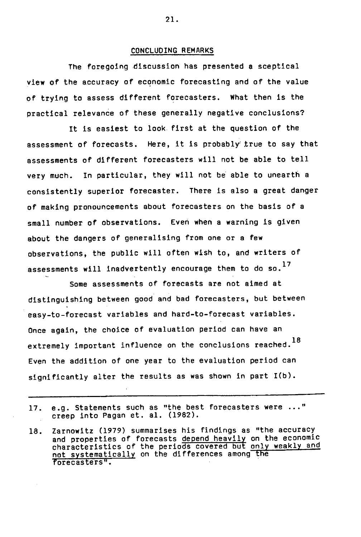#### CONCLUDING REMARKS

The foregoing discussion has presented a sceptical view of the accuracy of economic forecasting and of the value of trying to assess different forecasters. What then is the practical relevance of these generally negative conclusions?

It is easiest to look first at the question of the assessment of forecasts. Here, it is probably true to say that assessments of different forecasters will not be able to tell very much. In particular, they will not be able to unearth a consistently superior forecaster. There is also a great danger of making pronouncements about forecasters on the basis of a small number of observations. Even when a warning is given about the dangers of generalising from one or a few observations, the public will often wish to, and writers of assessments will inadvertently encourage them to do so.<sup>17</sup>

Some assessments of forecasts are not aimed at distinguishing between good and bad forecasters, but between easy-to-forecast variables and hard-to-forecast variables. Once again, the choice of evaluation period can have an extremely important influence on the conclusions reached.<sup>18</sup> Even the addition of one year to the evaluation period can significantly alter the results as was shown in part 1(b).

- 17. e.g. Statements such as "the best forecasters were ..." creep into Pagan et. al. (1982).
- Zarnowitz (1979) summarises his findings as "the accuracy 18. and properties of forecasts depend heavily on the economic characteristics of the periods covered but only weakly and not systematically on the differences among the forecasters".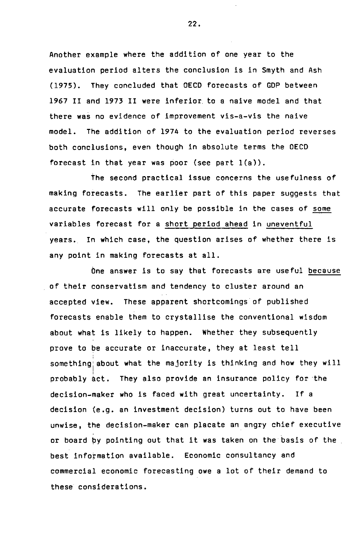Another example where the addition of one year to the evaluation period alters the conclusion is in Smyth and Ash (1975). They concluded that OECD forecasts of GOP between 1967 II and 1973 II were inferior, to a naive model and that there was no evidence of improvement vis-a-vis the naive model. The addition of 1974 to the evaluation period reverses both concl'usions, even though in absolute terms the OECD forecast in that year was poor (see part 1(a)).

The second practical issue concerns the usefulness of making forecasts. The earlier part of this paper suggests that accurate forecasts will only be possible in the cases of some variables forecast for a short period ahead in uneventful years. In which case, the question arises of whether there is any point in making forecasts at all.

One answer is to say that forecasts are useful because of their conservatism and tendency to cluster around an accepted view. These apparent shortcomings of published forecasts enable them to crystallise the conventional wisdom about what is likely to happen. Whether they subsequently prove to be accurate or inaccurate, they at least tell something about what the majority is thinking and how they will probably act. They also provide an insurance policy for the decision-maker who is faced with great uncertainty. If a decision (e.g. an investment decision) turns out to have been unwise, the decision-maker can placate an angry chief executive or board by pointing out that it was taken on the basis of the, best information available. Economic consultancy and commercial economic forecasting owe a lot of their demand to these considerations.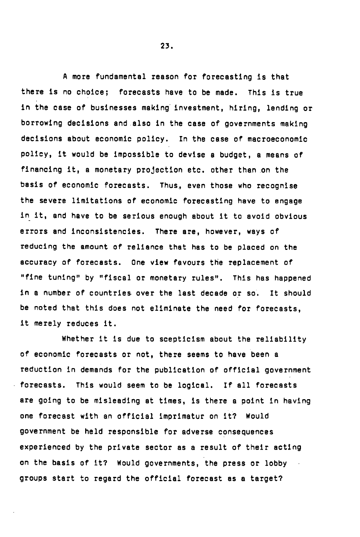A more fundamental reason for forecasting is that there is no choice; forecasts have to be made. This is true in the case of businesses making investment, hiring, lending or borrowing decisions and also in the case of governments making decisions about economic policy. In the case of macroeconomic policy, it would be impossible to devise a budget, a means of financing it, a monetary projection etc. other than on the basis of economic forecasts. Thus, even those who recognise the severe limitations of economic forecasting have to engage in it, and have to be serious enough about it to avoid obvious errors and inconsistencies. There are, however, ways of reducing the amount of reliance that has to be placed on the accuracy of forecasts. One view favours the replacement of "fine tuning" by "fiscal or monetary rules". This has happened in a number of countries over the last decade or so. It should be noted that this does not eliminate the need for forecasts, it merely reduces it.

Whether it is due to scepticism about the reliability of economic forecasts or not, there seems to have been a reduction in demands for the publication of official government forecasts. This would seem to be logical. If all forecasts are going to be misleading at times, is there a point in having one forecast with an official imprimatur on it? Would government be held responsible for adverse consequences experienced by the private sector as a result of their acting on the basis of it? Would governments, the press or lobby groups start to regard the official forecast as a target?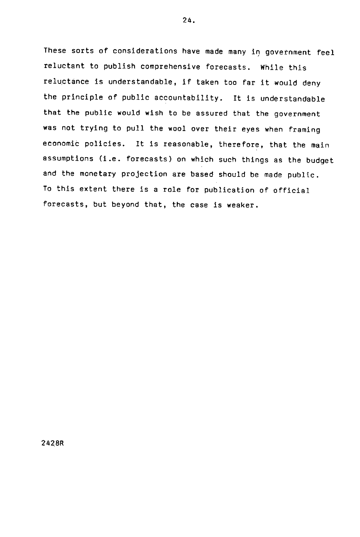These sorts of considerations have made many in government feel reluctant to publish comprehensive forecasts. While this reluctance is understandable, if taken too far it would deny the principle of public accountability. It is understandable that the public would wish to be assured that the government was not trying to pull the wool over their eyes when framing economià policies. It is reasonable, therefore, that the main assumptions (i.e. forecasts) on which such things as the budget and the monetary projection are based should be made public. To this extent there is a role for publication of official forecasts, but beyond that, the case is weaker.

24.

242 8R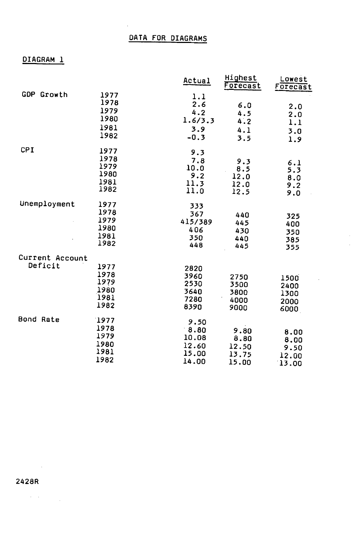## DIAGRAM 1

|                            |                                              | Actual                                           | Highest<br>Forecast                     | Lowest<br>Forecast                     |
|----------------------------|----------------------------------------------|--------------------------------------------------|-----------------------------------------|----------------------------------------|
| <b>GDP Growth</b>          | 1977<br>1978<br>1979<br>1980<br>1981<br>1982 | 1.1<br>2.6<br>4.2<br>1.6/3.3<br>3.9<br>$-0.3$    | 6.0<br>4.5<br>4.2<br>4.1<br>3.5         | 2.0<br>2.0<br>1.1<br>3.0<br>1.9        |
| <b>CPI</b>                 | 1977<br>1978<br>1979<br>1980<br>1981<br>1982 | 9.3<br>7.8<br>10.0<br>9.2<br>11.3<br>11.0        | 9.3<br>8.5<br>12.0<br>12.0<br>12.5      | 6.1<br>5.3<br>8.0<br>9.2<br>9.0        |
| Unemployment               | 1977<br>1978<br>1979<br>1980<br>1981<br>1982 | 333<br>367<br>415/389<br>406<br>350<br>448       | 440<br>445<br>430<br>440<br>445         | 325<br>400<br>350<br>385<br>355        |
| Current Account<br>Deficit | 1977<br>1978<br>1979<br>1980<br>1981<br>1982 | 2820<br>3960<br>2530<br>3640<br>7280<br>8390     | 2750<br>3500<br>3800<br>4000<br>9000    | 1500<br>2400<br>1300<br>2000<br>6000   |
| Bond Rate                  | 1977<br>1978<br>1979<br>1980<br>1981<br>1982 | 9.50<br>8.80<br>10.08<br>12.60<br>15.00<br>14.00 | 9.80<br>8.80<br>12.50<br>13.75<br>15.00 | 8.00<br>8.00<br>9.50<br>12.00<br>13.00 |

i,

 $\sim$ 

 $\mathcal{O}(\mathcal{F}^{\mathcal{O}}_{\mathcal{F}})$  . In particular,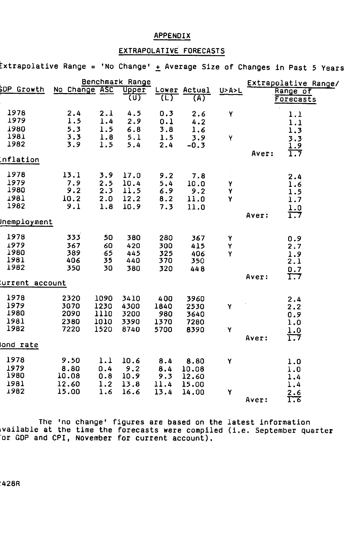## **APPENDIX**

### EXTRAPOLATIVE FORECASTS

 $\tt{extrapolative Range = 'No Change'  $\pm$  Average Size of Changes in Past 5 Years$ 

|                              |                              |                              | Benchmark Range              |                            |                              |                    |       | Extrapolative Range/     |
|------------------------------|------------------------------|------------------------------|------------------------------|----------------------------|------------------------------|--------------------|-------|--------------------------|
| OP.<br>Growth                | No Change ASC                |                              | <b>Upper</b><br>(U)          | (L).                       | Lower Actual<br>(A)          | <b>U&gt;A&gt;L</b> |       | Range of<br>Forecasts    |
| 1978<br>1979                 | 2.4<br>1.5                   | 2.1<br>1.4                   | 4.5<br>2.9                   | 0.3<br>0.1                 | 2.6<br>4.2                   | Y                  |       | 1.1<br>1.1               |
| 1980<br>1981<br>1982         | 5.3<br>3.3<br>3.9            | 1.5<br>1.8<br>1.5            | 6.8<br>5.1<br>5.4            | 3.8<br>1.5<br>2.4          | 1.6<br>3.9<br>$-0.3$         | Y                  |       | 1.3<br>3.3               |
| nflation:                    |                              |                              |                              |                            |                              |                    | Aver: | 1.9<br>1.7               |
| 1978<br>1979                 | 13.1<br>7.9                  | 3.9<br>2.5                   | 17.0<br>10.4                 | 9.2<br>5.4                 | 7.8<br>10.0                  | Υ                  |       | 2.4<br>1.6               |
| 1980<br>1981<br>1982         | 9.2<br>10.2<br>9.1           | 2.3<br>2.0<br>1.8            | 11.5<br>12.2<br>10.9         | 6.9<br>8.2<br>7.3          | 9.2<br>11.0<br>11.0          | Υ<br>Υ             |       | 1.5<br>1.7<br>1.0        |
| Inemployment                 |                              |                              |                              |                            |                              |                    | Aver: | 1.7                      |
| 1978<br>1979<br>1980<br>1981 | 333<br>367<br>389<br>406     | 50<br>60<br>-65<br>35        | 380<br>420<br>445<br>440     | 280<br>300<br>325<br>370   | 367<br>415<br>406<br>350     | Υ<br>Υ<br>Y        |       | 0.9<br>2.7<br>1.9<br>2.1 |
| 1982<br>urrent account:      | 350                          | 30                           | 380                          | 320                        | 448                          |                    | Aver: | 0.7<br>1.7               |
| 1978<br>1979<br>1980<br>1981 | 2320<br>3070<br>2090<br>2380 | 1090<br>1230<br>1110<br>1010 | 3410<br>4300<br>3200<br>3390 | 400<br>1840<br>980<br>1370 | 3960<br>2530<br>3640<br>7280 | Y                  |       | 2.4<br>2.2<br>0.9<br>1.0 |
| 1982<br>ond rate             | 7220                         | 1520                         | 8740                         | 5700                       | 8390                         | `Y                 | Aver: | 1.0<br>1.7               |
| 1978                         | 9.50                         | 1.1                          | 10.6                         | 8.4                        | 8.80                         | Ÿ                  |       | 1.0                      |
| 1979<br>1980<br>1981         | 8.80<br>10.08<br>12.60       | 0.4<br>0.8<br>1.2            | 9.2<br>10.9<br>13.8          | 8.4<br>9.3<br>11.4         | 10.08<br>12.60<br>15.00      |                    |       | 1.0<br>1.4               |
| 1982                         | 15.00                        | 1.6                          | 16.6                         | 13.4                       | 14.00                        | Υ                  | Aver: | 1.4<br>2.6<br>T.T        |

The 'no change' figures are based on the latest information vailable at the time the forecasts were compiled (i.e. September quarter or GOP and CPI, November for current account).

428R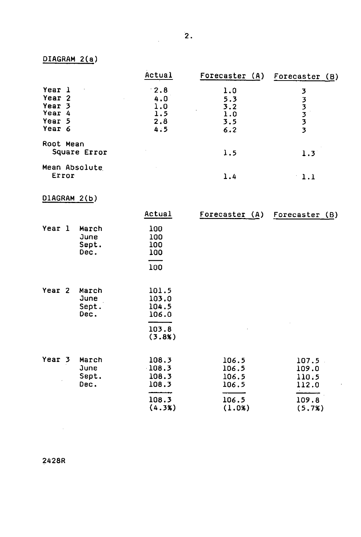# DIAGRAM 2(a)

|                   | Actual | Forecaster (A) | Forecaster (B) |
|-------------------|--------|----------------|----------------|
| Year 1            | 2.8    | 1.0            | 3              |
| Year <sub>2</sub> | 4.0    | 5.3            |                |
| Year 3            | 1.0    | 3.2            | 3              |
| Year<br>-4        | 1.5    | 1.0            | 3              |
| Year 5            | 2.8    | 3.5            | 3              |
| Year 6            | 4.5    | 6.2            | 3              |
| Root Mean         |        |                |                |
| Square Error      |        | 1.5            | $1.3^{\circ}$  |
| Mean Absolute     |        |                |                |
| Error             |        | 1.4            | 1.1            |

# DIAGRAM 2(b)

|                   |                                | Actual                                              | Forecaster (A)                   | Forecaster (B)                   |
|-------------------|--------------------------------|-----------------------------------------------------|----------------------------------|----------------------------------|
| Year 1            | March<br>June<br>Sept.<br>Dec. | 100<br>100<br>100<br>100<br>100                     |                                  |                                  |
| Year <sub>2</sub> | March<br>June<br>Sept.<br>Dec. | 101.5<br>103.0<br>104.5<br>106.0<br>103.8<br>(3.8%) |                                  |                                  |
| Year 3            | March<br>June<br>Sept.<br>Dec. | 108.3<br>$-108.3$<br>108.3<br>108.3                 | 106.5<br>106.5<br>106.5<br>106.5 | 107.5<br>109.0<br>110.5<br>112.0 |
|                   |                                | 108.3<br>(4.3%)                                     | 106.5<br>(1.0%)                  | 109.8<br>(5.7%)                  |

à.

J.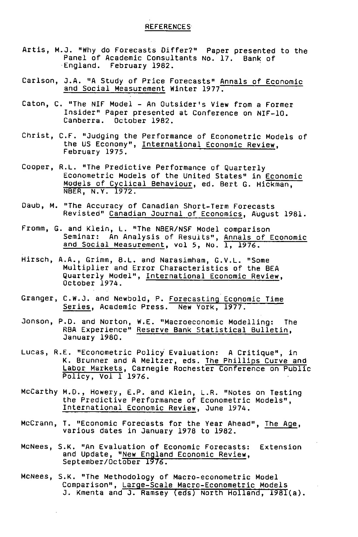- Artis, N.J. "Why do Forecasts Differ?" Paper presented to the Panel of Academic Consultants No. 17. Bank of England. February 1982.
- Carlson, J.A. "A Study of Price Forecasts" Annals of Economic and Social Measurement Winter 1977.
- Caton, C. "The NIF Model An Outsider's View from a Former Insider" Paper presented at Conference on NIF-lO. Canberra. October 1982.
- Christ, C.F. "Judging the Performance of Econometric Models of the US Economy", International Economic Review, February 1975.
- Cooper, R.L. "The Predictive Performance of Quarterly Econometric Models of the United States" in Economic Models of Cyclical Behaviour, ed. Bert G. Hickman, NBER, N.Y. 1972.
- Daub, M. "The Accuracy of Canadian Short-Term Forecasts Revisted" Canadian Journal of Economics, August 1981.
- Fromm, C. and Klein, L. "The NBER/NSF Model comparison Seminar: An Analysis of Results", Annals of Economic and Social Measurement, vol 5, No. 1, 1976.
- Hirsch, A.A., Grimm, B.L. and Narasimham, G.V.L. "Some Multiplier and Error Characteristics of the BEA Quarterly Model", <u>International Economic Review</u>,<br>October 1974.
- Granger, C.W.J. and Newbold, P. Forecasting Economic Time Series, Academic Press. New York, 1977.
- Jonson, P.O. and Norton, W.E. "Macroeconomic Modelling: The RBA Experience" Reserve Bank Statistical Bulletin, January 1980.
- Lucas, R.E. "Econometric Policy Evaluation: A Critique", in K. Brunner and A Meltzer, eds. The Phillips Curve and Labor Markets, Carnegie Rochester Conference on Public Policy, Vol 1 1976.
- McCarthy M.D., Howery, E.P. and Klein, L.R. "Notes on Testing the Predictive Performance of Econometric Models", International Economic Review, June 1974.
- McCrann, T. "Economic Forecasts for the Year Ahead", The Age, various dates in January 1978 to 1982.
- McNees, S.K. "An Evaluation of Economic Forecasts: Extension and Update, "New England Economic Review, September/October 1976.
- McNees, S.K. "The Methodology of Macro-econometric Model Comparison", Large-Scale Macro-Econometric Models J. Kmenta and J. Ramsey (eds) North Holland, 1981(a).